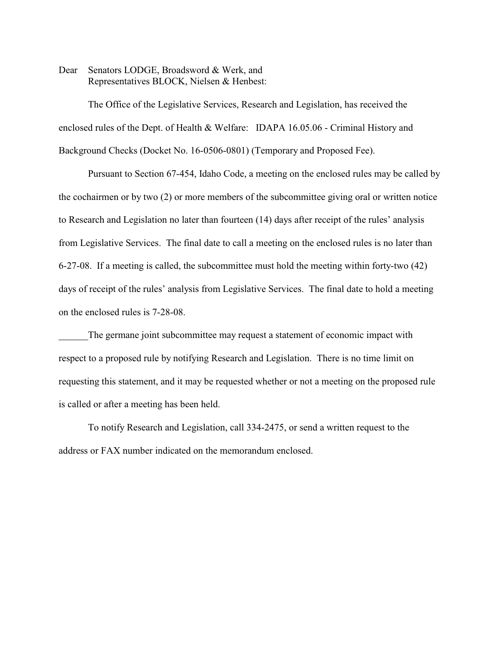Dear Senators LODGE, Broadsword & Werk, and Representatives BLOCK, Nielsen & Henbest:

The Office of the Legislative Services, Research and Legislation, has received the enclosed rules of the Dept. of Health & Welfare: IDAPA 16.05.06 - Criminal History and Background Checks (Docket No. 16-0506-0801) (Temporary and Proposed Fee).

Pursuant to Section 67-454, Idaho Code, a meeting on the enclosed rules may be called by the cochairmen or by two (2) or more members of the subcommittee giving oral or written notice to Research and Legislation no later than fourteen (14) days after receipt of the rules' analysis from Legislative Services. The final date to call a meeting on the enclosed rules is no later than 6-27-08. If a meeting is called, the subcommittee must hold the meeting within forty-two (42) days of receipt of the rules' analysis from Legislative Services. The final date to hold a meeting on the enclosed rules is 7-28-08.

The germane joint subcommittee may request a statement of economic impact with respect to a proposed rule by notifying Research and Legislation. There is no time limit on requesting this statement, and it may be requested whether or not a meeting on the proposed rule is called or after a meeting has been held.

To notify Research and Legislation, call 334-2475, or send a written request to the address or FAX number indicated on the memorandum enclosed.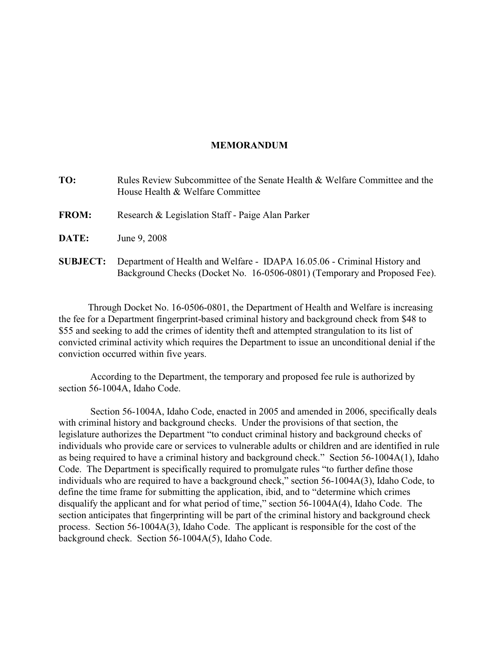#### **MEMORANDUM**

| TO:             | Rules Review Subcommittee of the Senate Health & Welfare Committee and the<br>House Health & Welfare Committee                                        |
|-----------------|-------------------------------------------------------------------------------------------------------------------------------------------------------|
| <b>FROM:</b>    | Research & Legislation Staff - Paige Alan Parker                                                                                                      |
| DATE:           | June 9, 2008                                                                                                                                          |
| <b>SUBJECT:</b> | Department of Health and Welfare - IDAPA 16.05.06 - Criminal History and<br>Background Checks (Docket No. 16-0506-0801) (Temporary and Proposed Fee). |

Through Docket No. 16-0506-0801, the Department of Health and Welfare is increasing the fee for a Department fingerprint-based criminal history and background check from \$48 to \$55 and seeking to add the crimes of identity theft and attempted strangulation to its list of convicted criminal activity which requires the Department to issue an unconditional denial if the conviction occurred within five years.

 According to the Department, the temporary and proposed fee rule is authorized by section 56-1004A, Idaho Code.

 Section 56-1004A, Idaho Code, enacted in 2005 and amended in 2006, specifically deals with criminal history and background checks. Under the provisions of that section, the legislature authorizes the Department "to conduct criminal history and background checks of individuals who provide care or services to vulnerable adults or children and are identified in rule as being required to have a criminal history and background check." Section 56-1004A(1), Idaho Code. The Department is specifically required to promulgate rules "to further define those individuals who are required to have a background check," section 56-1004A(3), Idaho Code, to define the time frame for submitting the application, ibid, and to "determine which crimes disqualify the applicant and for what period of time," section 56-1004A(4), Idaho Code. The section anticipates that fingerprinting will be part of the criminal history and background check process. Section 56-1004A(3), Idaho Code. The applicant is responsible for the cost of the background check. Section 56-1004A(5), Idaho Code.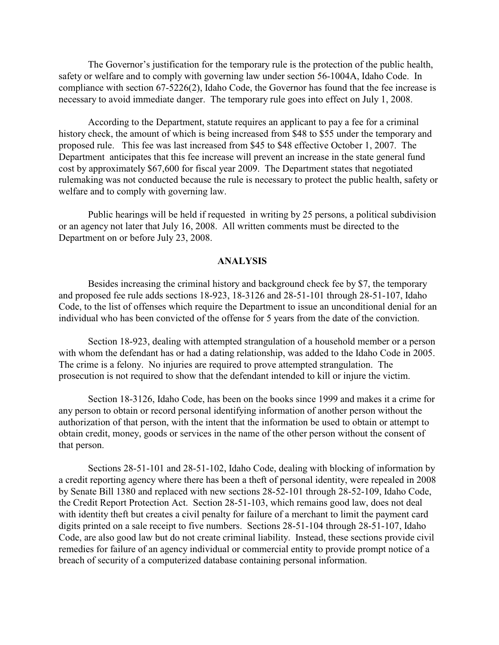The Governor's justification for the temporary rule is the protection of the public health, safety or welfare and to comply with governing law under section 56-1004A, Idaho Code. In compliance with section 67-5226(2), Idaho Code, the Governor has found that the fee increase is necessary to avoid immediate danger. The temporary rule goes into effect on July 1, 2008.

According to the Department, statute requires an applicant to pay a fee for a criminal history check, the amount of which is being increased from \$48 to \$55 under the temporary and proposed rule. This fee was last increased from \$45 to \$48 effective October 1, 2007. The Department anticipates that this fee increase will prevent an increase in the state general fund cost by approximately \$67,600 for fiscal year 2009. The Department states that negotiated rulemaking was not conducted because the rule is necessary to protect the public health, safety or welfare and to comply with governing law.

Public hearings will be held if requested in writing by 25 persons, a political subdivision or an agency not later that July 16, 2008. All written comments must be directed to the Department on or before July 23, 2008.

#### **ANALYSIS**

Besides increasing the criminal history and background check fee by \$7, the temporary and proposed fee rule adds sections 18-923, 18-3126 and 28-51-101 through 28-51-107, Idaho Code, to the list of offenses which require the Department to issue an unconditional denial for an individual who has been convicted of the offense for 5 years from the date of the conviction.

Section 18-923, dealing with attempted strangulation of a household member or a person with whom the defendant has or had a dating relationship, was added to the Idaho Code in 2005. The crime is a felony. No injuries are required to prove attempted strangulation. The prosecution is not required to show that the defendant intended to kill or injure the victim.

Section 18-3126, Idaho Code, has been on the books since 1999 and makes it a crime for any person to obtain or record personal identifying information of another person without the authorization of that person, with the intent that the information be used to obtain or attempt to obtain credit, money, goods or services in the name of the other person without the consent of that person.

Sections 28-51-101 and 28-51-102, Idaho Code, dealing with blocking of information by a credit reporting agency where there has been a theft of personal identity, were repealed in 2008 by Senate Bill 1380 and replaced with new sections 28-52-101 through 28-52-109, Idaho Code, the Credit Report Protection Act. Section 28-51-103, which remains good law, does not deal with identity theft but creates a civil penalty for failure of a merchant to limit the payment card digits printed on a sale receipt to five numbers. Sections 28-51-104 through 28-51-107, Idaho Code, are also good law but do not create criminal liability. Instead, these sections provide civil remedies for failure of an agency individual or commercial entity to provide prompt notice of a breach of security of a computerized database containing personal information.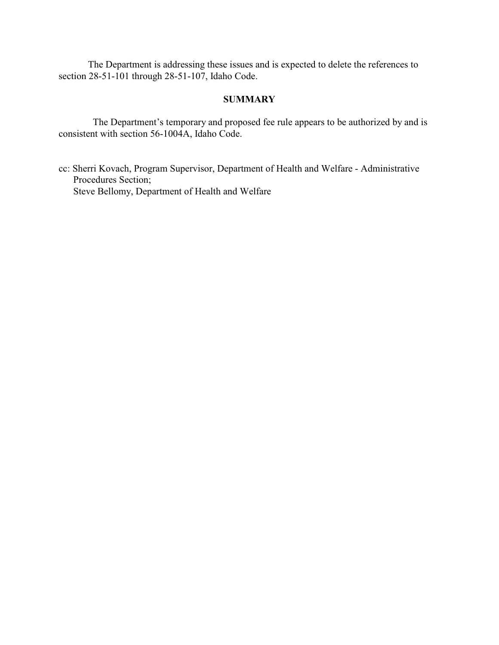The Department is addressing these issues and is expected to delete the references to section 28-51-101 through 28-51-107, Idaho Code.

# **SUMMARY**

 The Department's temporary and proposed fee rule appears to be authorized by and is consistent with section 56-1004A, Idaho Code.

cc: Sherri Kovach, Program Supervisor, Department of Health and Welfare - Administrative Procedures Section; Steve Bellomy, Department of Health and Welfare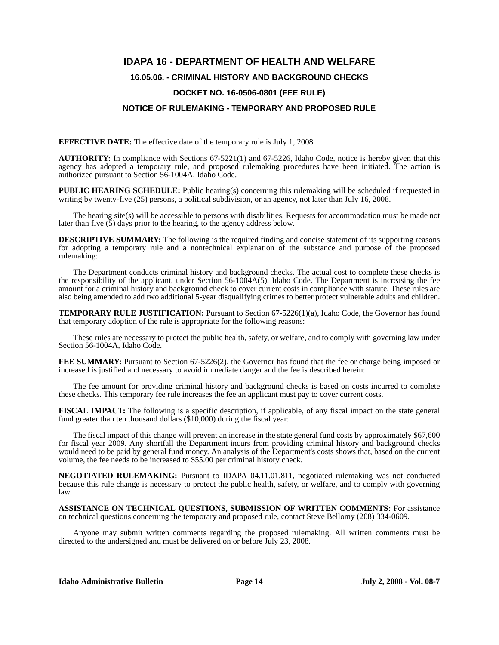## **IDAPA 16 - DEPARTMENT OF HEALTH AND WELFARE**

#### **16.05.06. - CRIMINAL HISTORY AND BACKGROUND CHECKS**

#### **DOCKET NO. 16-0506-0801 (FEE RULE)**

#### **NOTICE OF RULEMAKING - TEMPORARY AND PROPOSED RULE**

**EFFECTIVE DATE:** The effective date of the temporary rule is July 1, 2008.

**AUTHORITY:** In compliance with Sections 67-5221(1) and 67-5226, Idaho Code, notice is hereby given that this agency has adopted a temporary rule, and proposed rulemaking procedures have been initiated. The action is authorized pursuant to Section 56-1004A, Idaho Code.

**PUBLIC HEARING SCHEDULE:** Public hearing(s) concerning this rulemaking will be scheduled if requested in writing by twenty-five (25) persons, a political subdivision, or an agency, not later than July 16, 2008.

The hearing site(s) will be accessible to persons with disabilities. Requests for accommodation must be made not later than five  $(5)$  days prior to the hearing, to the agency address below.

**DESCRIPTIVE SUMMARY:** The following is the required finding and concise statement of its supporting reasons for adopting a temporary rule and a nontechnical explanation of the substance and purpose of the proposed rulemaking:

The Department conducts criminal history and background checks. The actual cost to complete these checks is the responsibility of the applicant, under Section 56-1004A(5), Idaho Code. The Department is increasing the fee amount for a criminal history and background check to cover current costs in compliance with statute. These rules are also being amended to add two additional 5-year disqualifying crimes to better protect vulnerable adults and children.

**TEMPORARY RULE JUSTIFICATION:** Pursuant to Section 67-5226(1)(a), Idaho Code, the Governor has found that temporary adoption of the rule is appropriate for the following reasons:

These rules are necessary to protect the public health, safety, or welfare, and to comply with governing law under Section 56-1004A, Idaho Code.

**FEE SUMMARY:** Pursuant to Section 67-5226(2), the Governor has found that the fee or charge being imposed or increased is justified and necessary to avoid immediate danger and the fee is described herein:

The fee amount for providing criminal history and background checks is based on costs incurred to complete these checks. This temporary fee rule increases the fee an applicant must pay to cover current costs.

**FISCAL IMPACT:** The following is a specific description, if applicable, of any fiscal impact on the state general fund greater than ten thousand dollars (\$10,000) during the fiscal year:

The fiscal impact of this change will prevent an increase in the state general fund costs by approximately \$67,600 for fiscal year 2009. Any shortfall the Department incurs from providing criminal history and background checks would need to be paid by general fund money. An analysis of the Department's costs shows that, based on the current volume, the fee needs to be increased to \$55.00 per criminal history check.

**NEGOTIATED RULEMAKING:** Pursuant to IDAPA 04.11.01.811, negotiated rulemaking was not conducted because this rule change is necessary to protect the public health, safety, or welfare, and to comply with governing law.

**ASSISTANCE ON TECHNICAL QUESTIONS, SUBMISSION OF WRITTEN COMMENTS:** For assistance on technical questions concerning the temporary and proposed rule, contact Steve Bellomy (208) 334-0609.

Anyone may submit written comments regarding the proposed rulemaking. All written comments must be directed to the undersigned and must be delivered on or before July 23, 2008.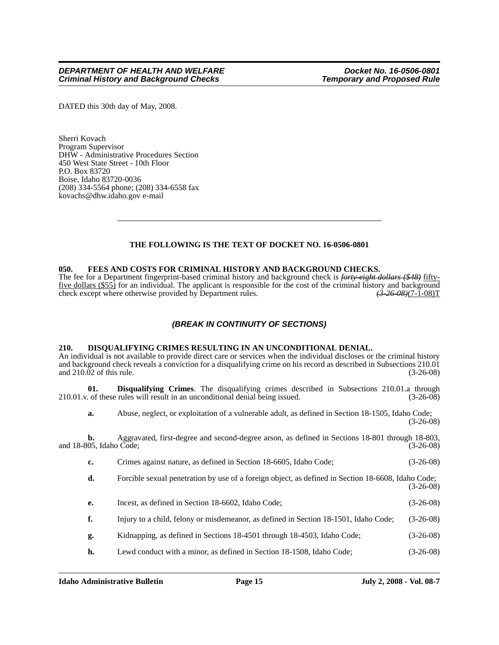DATED this 30th day of May, 2008.

Sherri Kovach Program Supervisor DHW - Administrative Procedures Section 450 West State Street - 10th Floor P.O. Box 83720 Boise, Idaho 83720-0036 (208) 334-5564 phone; (208) 334-6558 fax kovachs@dhw.idaho.gov e-mail

### **THE FOLLOWING IS THE TEXT OF DOCKET NO. 16-0506-0801**

#### **050. FEES AND COSTS FOR CRIMINAL HISTORY AND BACKGROUND CHECKS.**

The fee for a Department fingerprint-based criminal history and background check is *forty-eight dollars (\$48)* fifty-<u>five dollars (\$55</u>) for an individual. The applicant is responsible for the cost of the criminal history and background check except where otherwise provided by Department rules.  $\left(3-26-08\right)/7-1-08$ check except where otherwise provided by Department rules.

#### *(BREAK IN CONTINUITY OF SECTIONS)*

#### **210. DISQUALIFYING CRIMES RESULTING IN AN UNCONDITIONAL DENIAL.**

An individual is not available to provide direct care or services when the individual discloses or the criminal history and background check reveals a conviction for a disqualifying crime on his record as described in Subsections 210.01 and 210.02 of this rule. (3-26-08) and  $210.\overline{0}2$  of this rule.

**01. Disqualifying Crimes**. The disqualifying crimes described in Subsections 210.01.a through 210.01.v. of these rules will result in an unconditional denial being issued. (3-26-08)

**a.** Abuse, neglect, or exploitation of a vulnerable adult, as defined in Section 18-1505, Idaho Code; (3-26-08)

**b.** Aggravated, first-degree and second-degree arson, as defined in Sections 18-801 through 18-803, and 18-805, Idaho Code; (3-26-08)

**c.** Crimes against nature, as defined in Section 18-6605, Idaho Code; (3-26-08)

**d.** Forcible sexual penetration by use of a foreign object, as defined in Section 18-6608, Idaho Code; (3-26-08)

- **e.** Incest, as defined in Section 18-6602, Idaho Code; (3-26-08)
- **f.** Injury to a child, felony or misdemeanor, as defined in Section 18-1501, Idaho Code; (3-26-08)
- **g.** Kidnapping, as defined in Sections 18-4501 through 18-4503, Idaho Code; (3-26-08)
- **h.** Lewd conduct with a minor, as defined in Section 18-1508, Idaho Code; (3-26-08)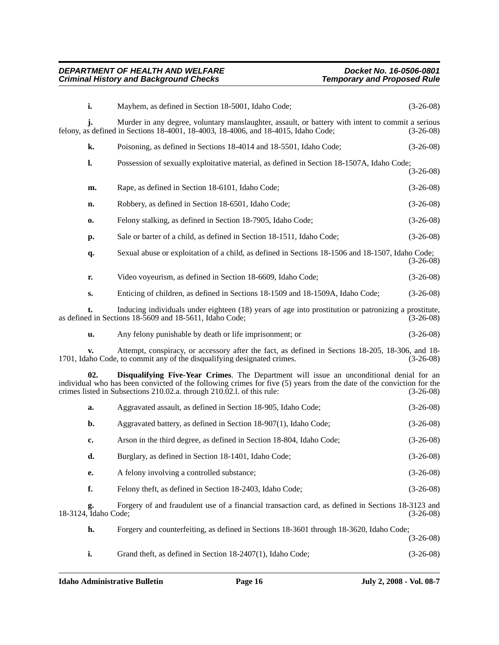|                                                                                                                                                                                                                                                                                                                  | i.                         | Mayhem, as defined in Section 18-5001, Idaho Code;                                                                                                                                                  | $(3-26-08)$ |  |
|------------------------------------------------------------------------------------------------------------------------------------------------------------------------------------------------------------------------------------------------------------------------------------------------------------------|----------------------------|-----------------------------------------------------------------------------------------------------------------------------------------------------------------------------------------------------|-------------|--|
|                                                                                                                                                                                                                                                                                                                  |                            | Murder in any degree, voluntary manslaughter, assault, or battery with intent to commit a serious<br>felony, as defined in Sections $18-4001$ , $18-4003$ , $18-4006$ , and $18-4015$ , Idaho Code; | $(3-26-08)$ |  |
|                                                                                                                                                                                                                                                                                                                  | k.                         | Poisoning, as defined in Sections 18-4014 and 18-5501, Idaho Code;                                                                                                                                  | $(3-26-08)$ |  |
|                                                                                                                                                                                                                                                                                                                  | l.                         | Possession of sexually exploitative material, as defined in Section 18-1507A, Idaho Code;                                                                                                           | $(3-26-08)$ |  |
|                                                                                                                                                                                                                                                                                                                  | m.                         | Rape, as defined in Section 18-6101, Idaho Code;                                                                                                                                                    | $(3-26-08)$ |  |
|                                                                                                                                                                                                                                                                                                                  | n.                         | Robbery, as defined in Section 18-6501, Idaho Code;                                                                                                                                                 | $(3-26-08)$ |  |
|                                                                                                                                                                                                                                                                                                                  | 0.                         | Felony stalking, as defined in Section 18-7905, Idaho Code;                                                                                                                                         | $(3-26-08)$ |  |
|                                                                                                                                                                                                                                                                                                                  | p.                         | Sale or barter of a child, as defined in Section 18-1511, Idaho Code;                                                                                                                               | $(3-26-08)$ |  |
|                                                                                                                                                                                                                                                                                                                  | q.                         | Sexual abuse or exploitation of a child, as defined in Sections 18-1506 and 18-1507, Idaho Code;                                                                                                    | $(3-26-08)$ |  |
|                                                                                                                                                                                                                                                                                                                  | r.                         | Video voyeurism, as defined in Section 18-6609, Idaho Code;                                                                                                                                         | $(3-26-08)$ |  |
|                                                                                                                                                                                                                                                                                                                  | s.                         | Enticing of children, as defined in Sections 18-1509 and 18-1509A, Idaho Code;                                                                                                                      | $(3-26-08)$ |  |
|                                                                                                                                                                                                                                                                                                                  | t.                         | Inducing individuals under eighteen (18) years of age into prostitution or patronizing a prostitute,<br>as defined in Sections 18-5609 and 18-5611, Idaho Code;                                     | $(3-26-08)$ |  |
|                                                                                                                                                                                                                                                                                                                  | u.                         | Any felony punishable by death or life imprisonment; or                                                                                                                                             | $(3-26-08)$ |  |
|                                                                                                                                                                                                                                                                                                                  |                            | Attempt, conspiracy, or accessory after the fact, as defined in Sections 18-205, 18-306, and 18-<br>1701, Idaho Code, to commit any of the disqualifying designated crimes.                         | $(3-26-08)$ |  |
| 02.<br>Disqualifying Five-Year Crimes. The Department will issue an unconditional denial for an<br>individual who has been convicted of the following crimes for five (5) years from the date of the conviction for the<br>crimes listed in Subsections 210.02.a. through 210.02.l. of this rule:<br>$(3-26-08)$ |                            |                                                                                                                                                                                                     |             |  |
|                                                                                                                                                                                                                                                                                                                  | a.                         | Aggravated assault, as defined in Section 18-905, Idaho Code;                                                                                                                                       | $(3-26-08)$ |  |
|                                                                                                                                                                                                                                                                                                                  | b.                         | Aggravated battery, as defined in Section 18-907(1), Idaho Code;                                                                                                                                    | $(3-26-08)$ |  |
|                                                                                                                                                                                                                                                                                                                  | c.                         | Arson in the third degree, as defined in Section 18-804, Idaho Code;                                                                                                                                | $(3-26-08)$ |  |
|                                                                                                                                                                                                                                                                                                                  | d.                         | Burglary, as defined in Section 18-1401, Idaho Code;                                                                                                                                                | $(3-26-08)$ |  |
|                                                                                                                                                                                                                                                                                                                  | e.                         | A felony involving a controlled substance;                                                                                                                                                          | $(3-26-08)$ |  |
|                                                                                                                                                                                                                                                                                                                  | f.                         | Felony theft, as defined in Section 18-2403, Idaho Code;                                                                                                                                            | $(3-26-08)$ |  |
|                                                                                                                                                                                                                                                                                                                  | g.<br>18-3124, Idaho Code; | Forgery of and fraudulent use of a financial transaction card, as defined in Sections 18-3123 and                                                                                                   | $(3-26-08)$ |  |
|                                                                                                                                                                                                                                                                                                                  | h.                         | Forgery and counterfeiting, as defined in Sections 18-3601 through 18-3620, Idaho Code;                                                                                                             | $(3-26-08)$ |  |
|                                                                                                                                                                                                                                                                                                                  | i.                         | Grand theft, as defined in Section 18-2407(1), Idaho Code;                                                                                                                                          | $(3-26-08)$ |  |